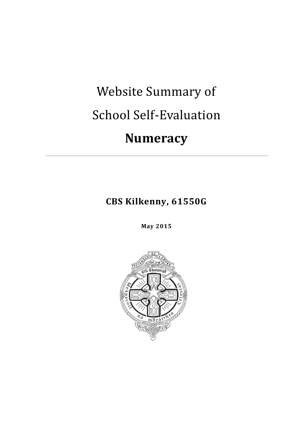# Website Summary of School Self-Evaluation **Numeracy**

**CBS Kilkenny, 61550G**

**May 2015**

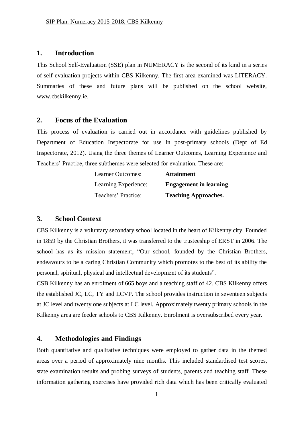#### **1. Introduction**

This School Self-Evaluation (SSE) plan in NUMERACY is the second of its kind in a series of self-evaluation projects within CBS Kilkenny. The first area examined was LITERACY. Summaries of these and future plans will be published on the school website, www.cbskilkenny.ie.

#### **2. Focus of the Evaluation**

This process of evaluation is carried out in accordance with guidelines published by Department of Education Inspectorate for use in post-primary schools (Dept of Ed Inspectorate, 2012). Using the three themes of Learner Outcomes, Learning Experience and Teachers' Practice, three subthemes were selected for evaluation. These are:

| <b>Learner Outcomes:</b> | <b>Attainment</b>             |
|--------------------------|-------------------------------|
| Learning Experience:     | <b>Engagement in learning</b> |
| Teachers' Practice:      | <b>Teaching Approaches.</b>   |

#### **3. School Context**

CBS Kilkenny is a voluntary secondary school located in the heart of Kilkenny city. Founded in 1859 by the Christian Brothers, it was transferred to the trusteeship of ERST in 2006. The school has as its mission statement, "Our school, founded by the Christian Brothers, endeavours to be a caring Christian Community which promotes to the best of its ability the personal, spiritual, physical and intellectual development of its students".

CSB Kilkenny has an enrolment of 665 boys and a teaching staff of 42. CBS Kilkenny offers the established JC, LC, TY and LCVP. The school provides instruction in seventeen subjects at JC level and twenty one subjects at LC level. Approximately twenty primary schools in the Kilkenny area are feeder schools to CBS Kilkenny. Enrolment is oversubscribed every year.

### **4. Methodologies and Findings**

Both quantitative and qualitative techniques were employed to gather data in the themed areas over a period of approximately nine months. This included standardised test scores, state examination results and probing surveys of students, parents and teaching staff. These information gathering exercises have provided rich data which has been critically evaluated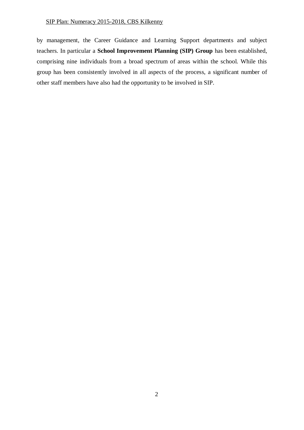#### SIP Plan: Numeracy 2015-2018, CBS Kilkenny

by management, the Career Guidance and Learning Support departments and subject teachers. In particular a **School Improvement Planning (SIP) Group** has been established, comprising nine individuals from a broad spectrum of areas within the school. While this group has been consistently involved in all aspects of the process, a significant number of other staff members have also had the opportunity to be involved in SIP.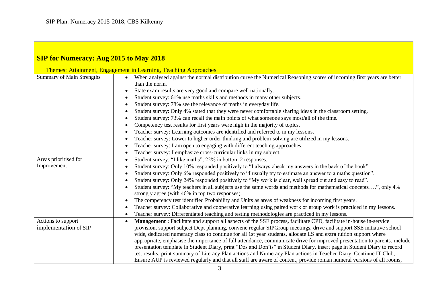| <b>SIP for Numeracy: Aug 2015 to May 2018</b>                   |                                                                                                                                                                                                                                                                                                                                                                                                                                                                                                                                                                                                                                                                                                                                                                                                                                                                                                                    |
|-----------------------------------------------------------------|--------------------------------------------------------------------------------------------------------------------------------------------------------------------------------------------------------------------------------------------------------------------------------------------------------------------------------------------------------------------------------------------------------------------------------------------------------------------------------------------------------------------------------------------------------------------------------------------------------------------------------------------------------------------------------------------------------------------------------------------------------------------------------------------------------------------------------------------------------------------------------------------------------------------|
| Themes: Attainment, Engagement in Learning, Teaching Approaches |                                                                                                                                                                                                                                                                                                                                                                                                                                                                                                                                                                                                                                                                                                                                                                                                                                                                                                                    |
| <b>Summary of Main Strengths</b>                                | When analysed against the normal distribution curve the Numerical Reasoning scores of incoming first years are better<br>than the norm.<br>State exam results are very good and compare well nationally.<br>Student survey: 61% use maths skills and methods in many other subjects.<br>Student survey: 78% see the relevance of maths in everyday life.<br>Student survey: Only 4% stated that they were never comfortable sharing ideas in the classroom setting.<br>Student survey: 73% can recall the main points of what someone says most/all of the time.<br>Competency test results for first years were high in the majority of topics.<br>Teacher survey: Learning outcomes are identified and referred to in my lessons.<br>Teacher survey: Lower to higher order thinking and problem-solving are utilized in my lessons.<br>Teacher survey: I am open to engaging with different teaching approaches. |
| Areas prioritised for                                           | Teacher survey: I emphasize cross-curricular links in my subject.<br>Student survey: "I like maths", 22% in bottom 2 responses.                                                                                                                                                                                                                                                                                                                                                                                                                                                                                                                                                                                                                                                                                                                                                                                    |
| Improvement                                                     | Student survey: Only 10% responded positively to "I always check my answers in the back of the book".<br>Student survey: Only 6% responded positively to "I usually try to estimate an answer to a maths question".<br>Student survey: Only 24% responded positively to "My work is clear, well spread out and easy to read".<br>Student survey: "My teachers in all subjects use the same words and methods for mathematical concepts", only 4%<br>strongly agree (with 46% in top two responses).<br>The competency test identified Probability and Units as areas of weakness for incoming first years.<br>Teacher survey: Collaborative and cooperative learning using paired work or group work is practiced in my lessons.<br>Teacher survey: Differentiated teaching and testing methodologies are practiced in my lessons.                                                                                 |
| Actions to support<br>implementation of SIP                     | <b>Management</b> : Facilitate and support all aspects of the SSE process, facilitate CPD, facilitate in-house in-service<br>provision, support subject Dept planning, convene regular SIPGroup meetings, drive and support SSE initiative school<br>wide, dedicated numeracy class to continue for all 1st year students, allocate LS and extra tuition support where<br>appropriate, emphasise the importance of full attendance, communicate drive for improved presentation to parents, include<br>presentation template in Student Diary, print "Dos and Don'ts" in Student Diary, insert page in Student Diary to record<br>test results, print summary of Literacy Plan actions and Numeracy Plan actions in Teacher Diary, Continue IT Club,<br>Ensure AUP is reviewed regularly and that all staff are aware of content, provide roman numeral versions of all rooms,                                     |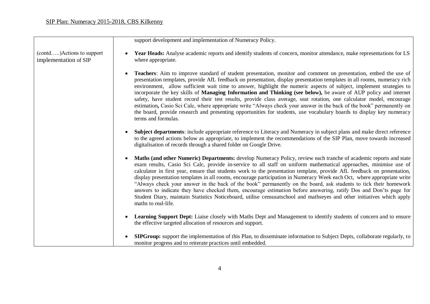(contd…..)Actions to support implementation of SIP

support development and implementation of Numeracy Policy.

- **Year Heads:** Analyse academic reports and identify students of concern, monitor attendance, make representations for LS where appropriate.
- **Teachers**: Aim to improve standard of student presentation, monitor and comment on presentation, embed the use of presentation templates, provide AfL feedback on presentation, display presentation templates in all rooms, numeracy rich environment, allow sufficient wait time to answer, highlight the numeric aspects of subject, implement strategies to incorporate the key skills of **Managing Information and Thinking (see below),** be aware of AUP policy and internet safety, have student record their test results, provide class average, seat rotation, one calculator model, encourage estimation**,** Casio Sci Calc, where appropriate write "Always check your answer in the back of the book" permanently on the board, provide research and presenting opportunities for students, use vocabulary boards to display key numeracy terms and formulas.
- **Subject departments**: include appropriate reference to Literacy and Numeracy in subject plans and make direct reference to the agreed actions below as appropriate, to implement the recommendations of the SIP Plan, move towards increased digitalisation of records through a shared folder on Google Drive.
- **Maths (and other Numeric) Departments:** develop Numeracy Policy, review each tranche of academic reports and state exam results, Casio Sci Calc, provide in-service to all staff on uniform mathematical approaches, minimise use of calculator in first year, ensure that students work to the presentation template, provide AfL feedback on presentation, display presentation templates in all rooms, encourage participation in Numeracy Week each Oct, where appropriate write "Always check your answer in the back of the book" permanently on the board, ask students to tick their homework answers to indicate they have checked them, encourage estimation before answering, ratify Dos and Don'ts page for Student Diary, maintain Statistics Noticeboard, utilise censusatschool and mathseyes and other initiatives which apply maths to real-life.
- **Learning Support Dept:** Liaise closely with Maths Dept and Management to identify students of concern and to ensure the effective targeted allocation of resources and support.
- **SIPGroup:** support the implementation of this Plan, to disseminate information to Subject Depts, collaborate regularly, to monitor progress and to reiterate practices until embedded.